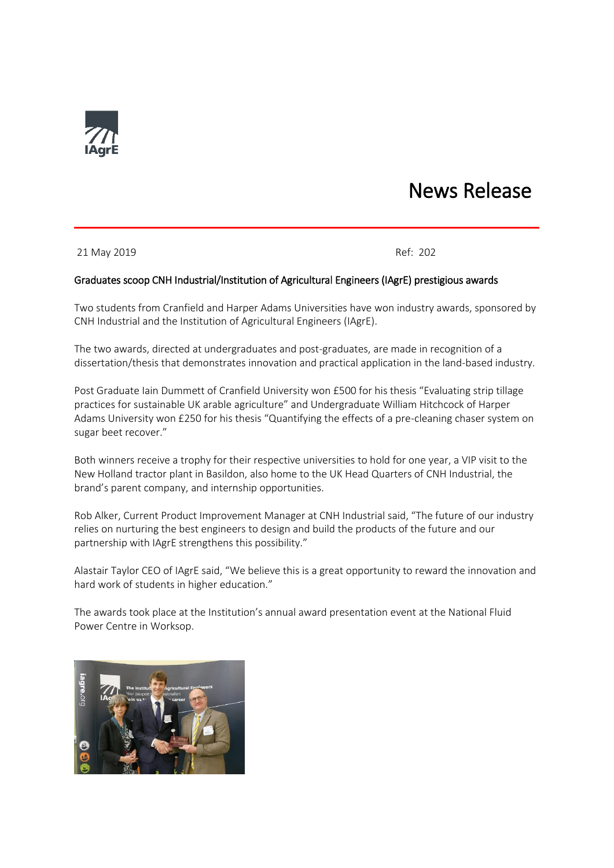

## News Release

21 May 2019 Ref: 202

## Graduates scoop CNH Industrial/Institution of Agricultural Engineers (IAgrE) prestigious awards

Two students from Cranfield and Harper Adams Universities have won industry awards, sponsored by CNH Industrial and the Institution of Agricultural Engineers (IAgrE).

The two awards, directed at undergraduates and post-graduates, are made in recognition of a dissertation/thesis that demonstrates innovation and practical application in the land-based industry.

Post Graduate Iain Dummett of Cranfield University won £500 for his thesis "Evaluating strip tillage practices for sustainable UK arable agriculture" and Undergraduate William Hitchcock of Harper Adams University won £250 for his thesis "Quantifying the effects of a pre-cleaning chaser system on sugar beet recover."

Both winners receive a trophy for their respective universities to hold for one year, a VIP visit to the New Holland tractor plant in Basildon, also home to the UK Head Quarters of CNH Industrial, the brand's parent company, and internship opportunities.

Rob Alker, Current Product Improvement Manager at CNH Industrial said, "The future of our industry relies on nurturing the best engineers to design and build the products of the future and our partnership with IAgrE strengthens this possibility."

Alastair Taylor CEO of IAgrE said, "We believe this is a great opportunity to reward the innovation and hard work of students in higher education."

The awards took place at the Institution's annual award presentation event at the National Fluid Power Centre in Worksop.